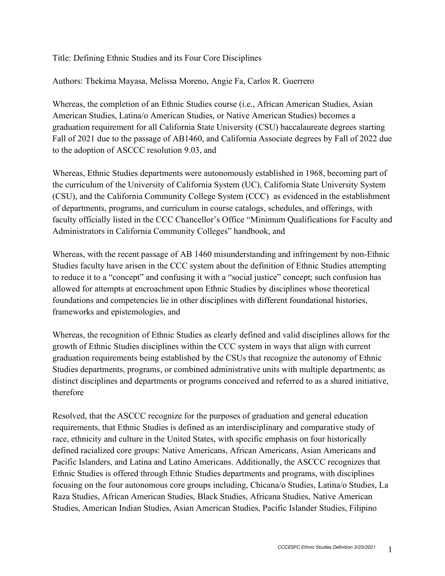## Title: Defining Ethnic Studies and its Four Core Disciplines

Authors: Thekima Mayasa, Melissa Moreno, Angie Fa, Carlos R. Guerrero

Whereas, the completion of an Ethnic Studies course (i.e., African American Studies, Asian American Studies, Latina/o American Studies, or Native American Studies) becomes a graduation requirement for all California State University (CSU) baccalaureate degrees starting Fall of 2021 due to the passage of AB1460, and California Associate degrees by Fall of 2022 due to the adoption of ASCCC resolution 9.03, and

Whereas, Ethnic Studies departments were autonomously established in 1968, becoming part of the curriculum of the University of California System (UC), California State University System (CSU), and the California Community College System (CCC) as evidenced in the establishment of departments, programs, and curriculum in course catalogs, schedules, and offerings, with faculty officially listed in the CCC Chancellor's Office "Minimum Qualifications for Faculty and Administrators in California Community Colleges" handbook, and

Whereas, with the recent passage of AB 1460 misunderstanding and infringement by non-Ethnic Studies faculty have arisen in the CCC system about the definition of Ethnic Studies attempting to reduce it to a "concept" and confusing it with a "social justice" concept; such confusion has allowed for attempts at encroachment upon Ethnic Studies by disciplines whose theoretical foundations and competencies lie in other disciplines with different foundational histories, frameworks and epistemologies, and

Whereas, the recognition of Ethnic Studies as clearly defined and valid disciplines allows for the growth of Ethnic Studies disciplines within the CCC system in ways that align with current graduation requirements being established by the CSUs that recognize the autonomy of Ethnic Studies departments, programs, or combined administrative units with multiple departments; as distinct disciplines and departments or programs conceived and referred to as a shared initiative, therefore

Resolved, that the ASCCC recognize for the purposes of graduation and general education requirements, that Ethnic Studies is defined as an interdisciplinary and comparative study of race, ethnicity and culture in the United States, with specific emphasis on four historically defined racialized core groups: Native Americans, African Americans, Asian Americans and Pacific Islanders, and Latina and Latino Americans. Additionally, the ASCCC recognizes that Ethnic Studies is offered through Ethnic Studies departments and programs, with disciplines focusing on the four autonomous core groups including, Chicana/o Studies, Latina/o Studies, La Raza Studies, African American Studies, Black Studies, Africana Studies, Native American Studies, American Indian Studies, Asian American Studies, Pacific Islander Studies, Filipino